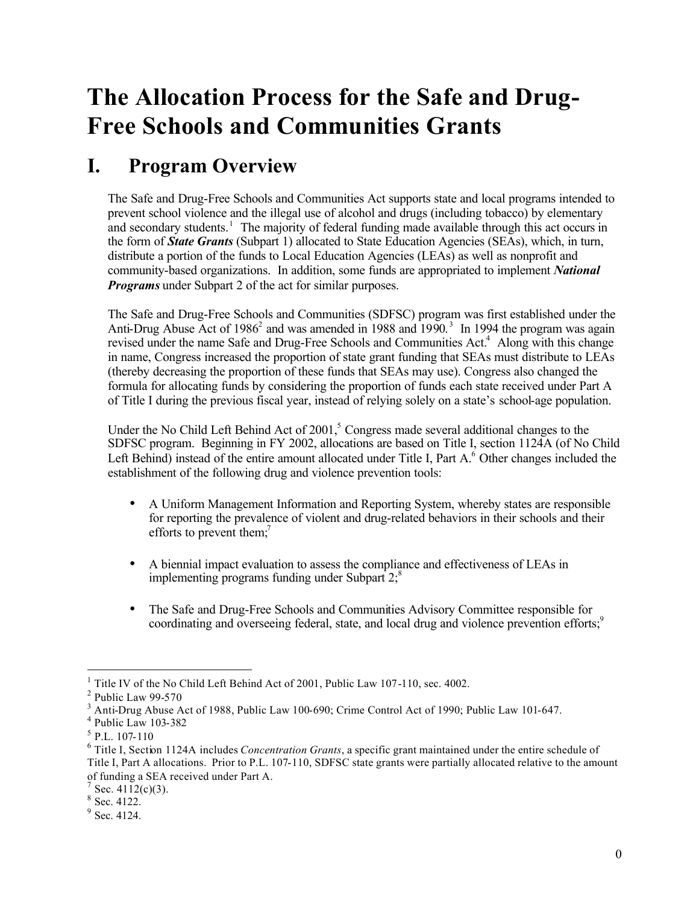# **The Allocation Process for the Safe and Drug-Free Schools and Communities Grants**

## **I. Program Overview**

The Safe and Drug-Free Schools and Communities Act supports state and local programs intended to prevent school violence and the illegal use of alcohol and drugs (including tobacco) by elementary and secondary students.<sup>1</sup> The majority of federal funding made available through this act occurs in the form of *State Grants* (Subpart 1) allocated to State Education Agencies (SEAs), which, in turn, distribute a portion of the funds to Local Education Agencies (LEAs) as well as nonprofit and community-based organizations. In addition, some funds are appropriated to implement *National Programs* under Subpart 2 of the act for similar purposes.

The Safe and Drug-Free Schools and Communities (SDFSC) program was first established under the Anti-Drug Abuse Act of 1986<sup>2</sup> and was amended in 1988 and 1990.<sup>3</sup> In 1994 the program was again revised under the name Safe and Drug-Free Schools and Communities Act.<sup>4</sup> Along with this change in name, Congress increased the proportion of state grant funding that SEAs must distribute to LEAs (thereby decreasing the proportion of these funds that SEAs may use). Congress also changed the formula for allocating funds by considering the proportion of funds each state received under Part A of Title I during the previous fiscal year, instead of relying solely on a state's school-age population.

Under the No Child Left Behind Act of  $2001$ , Congress made several additional changes to the SDFSC program. Beginning in FY 2002, allocations are based on Title I, section 1124A (of No Child Left Behind) instead of the entire amount allocated under Title I, Part A.<sup>6</sup> Other changes included the establishment of the following drug and violence prevention tools:

- · A Uniform Management Information and Reporting System, whereby states are responsible for reporting the prevalence of violent and drug-related behaviors in their schools and their efforts to prevent them;<sup>7</sup>
- · A biennial impact evaluation to assess the compliance and effectiveness of LEAs in implementing programs funding under Subpart  $2$ ;
- · The Safe and Drug-Free Schools and Communities Advisory Committee responsible for coordinating and overseeing federal, state, and local drug and violence prevention efforts;<sup>9</sup>

-

<sup>&</sup>lt;sup>1</sup> Title IV of the No Child Left Behind Act of 2001, Public Law 107-110, sec. 4002.

<sup>&</sup>lt;sup>2</sup> Public Law 99-570

 $3$  Anti-Drug Abuse Act of 1988, Public Law 100-690; Crime Control Act of 1990; Public Law 101-647.

<sup>4</sup> Public Law 103-382

<sup>5</sup> P.L. 107-110

<sup>6</sup> Title I, Section 1124A includes *Concentration Grants*, a specific grant maintained under the entire schedule of Title I, Part A allocations. Prior to P.L. 107-110, SDFSC state grants were partially allocated relative to the amount of funding a SEA received under Part A.

 $7$  Sec. 4112(c)(3).

<sup>8</sup> Sec. 4122.

 $9$  Sec. 4124.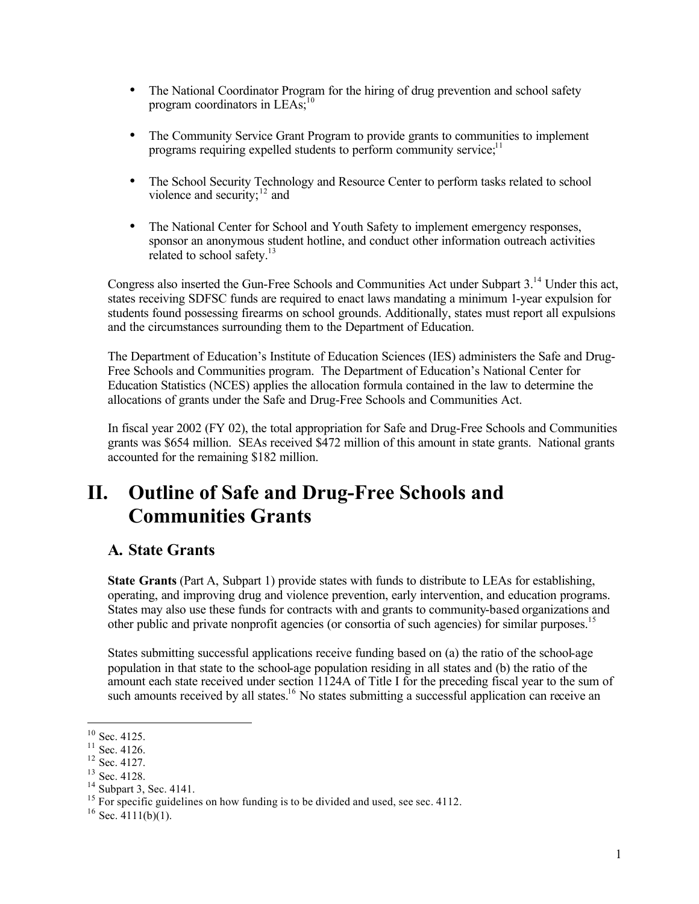- The National Coordinator Program for the hiring of drug prevention and school safety program coordinators in  $LEAs$ ;<sup>10</sup>
- · The Community Service Grant Program to provide grants to communities to implement programs requiring expelled students to perform community service; $<sup>11</sup>$ </sup>
- violence and security; $12$  and The School Security Technology and Resource Center to perform tasks related to school
- · The National Center for School and Youth Safety to implement emergency responses, sponsor an anonymous student hotline, and conduct other information outreach activities related to school safety. $13$

Congress also inserted the Gun-Free Schools and Communities Act under Subpart 3.14 Under this act, states receiving SDFSC funds are required to enact laws mandating a minimum 1-year expulsion for students found possessing firearms on school grounds. Additionally, states must report all expulsions and the circumstances surrounding them to the Department of Education.

The Department of Education's Institute of Education Sciences (IES) administers the Safe and Drug-Free Schools and Communities program. The Department of Education's National Center for Education Statistics (NCES) applies the allocation formula contained in the law to determine the allocations of grants under the Safe and Drug-Free Schools and Communities Act.

In fiscal year 2002 (FY 02), the total appropriation for Safe and Drug-Free Schools and Communities grants was \$654 million. SEAs received \$472 million of this amount in state grants. National grants accounted for the remaining \$182 million.

## **II. Outline of Safe and Drug-Free Schools and Communities Grants**

#### **A. State Grants**

**State Grants** (Part A, Subpart 1) provide states with funds to distribute to LEAs for establishing, operating, and improving drug and violence prevention, early intervention, and education programs. States may also use these funds for contracts with and grants to community-based organizations and other public and private nonprofit agencies (or consortia of such agencies) for similar purposes.<sup>15</sup>

States submitting successful applications receive funding based on (a) the ratio of the school-age population in that state to the school-age population residing in all states and (b) the ratio of the amount each state received under section 1124A of Title I for the preceding fiscal year to the sum of such amounts received by all states.<sup>16</sup> No states submitting a successful application can receive an

-

 $10$  Sec. 4125.

 $11$  Sec. 4126.

 $12$  Sec. 4127.

<sup>13</sup> Sec. 4128.

<sup>&</sup>lt;sup>14</sup> Subpart 3, Sec. 4141.

<sup>&</sup>lt;sup>15</sup> For specific guidelines on how funding is to be divided and used, see sec. 4112.

 $16$  Sec. 4111(b)(1).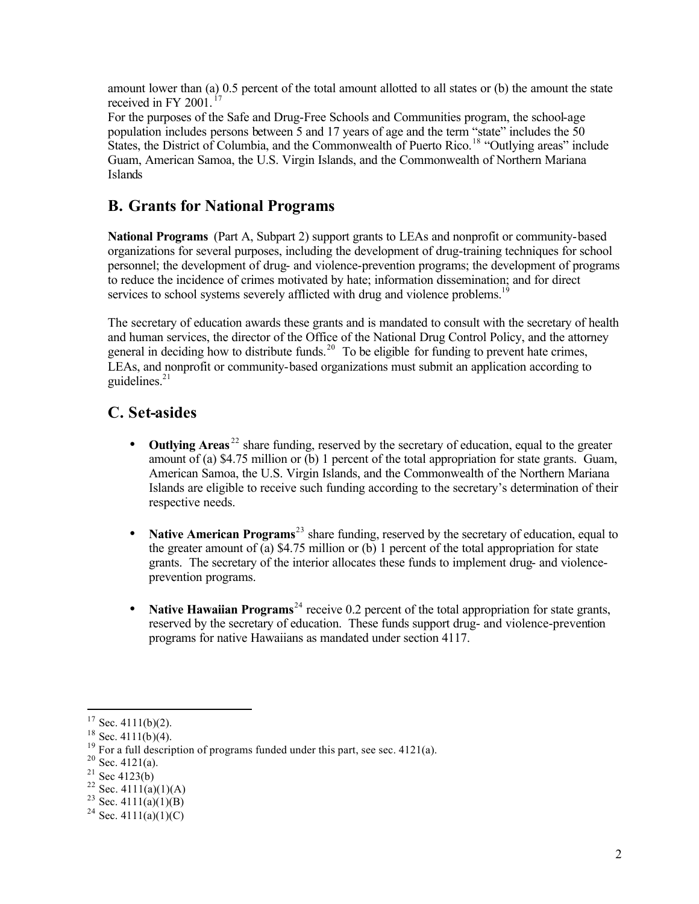amount lower than (a) 0.5 percent of the total amount allotted to all states or (b) the amount the state received in FY 2001.<sup>17</sup>

For the purposes of the Safe and Drug-Free Schools and Communities program, the school-age population includes persons between 5 and 17 years of age and the term "state" includes the 50 States, the District of Columbia, and the Commonwealth of Puerto Rico.<sup>18</sup> "Outlying areas" include Guam, American Samoa, the U.S. Virgin Islands, and the Commonwealth of Northern Mariana Islands

#### **B. Grants for National Programs**

**National Programs** (Part A, Subpart 2) support grants to LEAs and nonprofit or community-based organizations for several purposes, including the development of drug-training techniques for school personnel; the development of drug- and violence-prevention programs; the development of programs to reduce the incidence of crimes motivated by hate; information dissemination; and for direct services to school systems severely afflicted with drug and violence problems.<sup>19</sup>

The secretary of education awards these grants and is mandated to consult with the secretary of health and human services, the director of the Office of the National Drug Control Policy, and the attorney general in deciding how to distribute funds.<sup>20</sup> To be eligible for funding to prevent hate crimes, LEAs, and nonprofit or community-based organizations must submit an application according to guidelines. $21$ 

### **C. Set-asides**

- **Outlying Areas**<sup>22</sup> share funding, reserved by the secretary of education, equal to the greater amount of (a) \$4.75 million or (b) 1 percent of the total appropriation for state grants. Guam, American Samoa, the U.S. Virgin Islands, and the Commonwealth of the Northern Mariana Islands are eligible to receive such funding according to the secretary's determination of their respective needs.
- **Native American Programs**<sup>23</sup> share funding, reserved by the secretary of education, equal to the greater amount of (a) \$4.75 million or (b) 1 percent of the total appropriation for state grants. The secretary of the interior allocates these funds to implement drug- and violenceprevention programs.
- **Native Hawaiian Programs**<sup>24</sup> receive 0.2 percent of the total appropriation for state grants, reserved by the secretary of education. These funds support drug- and violence-prevention programs for native Hawaiians as mandated under section 4117.

 $\overline{a}$ 

 $17$  Sec. 4111(b)(2).

 $18$  Sec. 4111(b)(4).

 $19$  For a full description of programs funded under this part, see sec. 4121(a).

 $20$  Sec. 4121(a).

 $21$  Sec 4123(b)

<sup>&</sup>lt;sup>22</sup> Sec. 4111(a)(1)(A)

<sup>&</sup>lt;sup>23</sup> Sec. 4111(a)(1)(B)

<sup>&</sup>lt;sup>24</sup> Sec. 4111(a)(1)(C)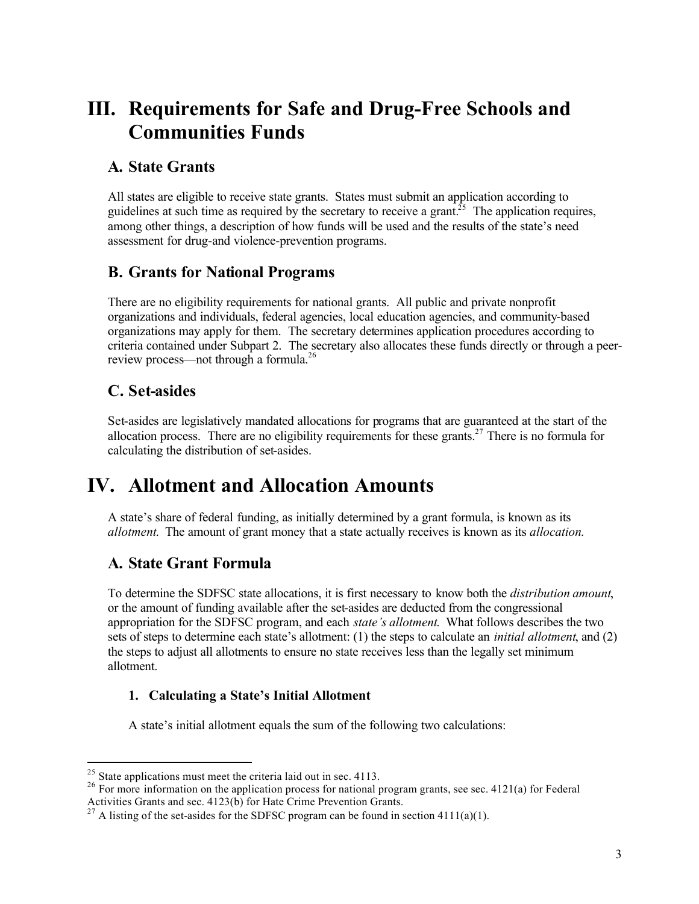## **III. Requirements for Safe and Drug-Free Schools and Communities Funds**

#### **A. State Grants**

All states are eligible to receive state grants. States must submit an application according to guidelines at such time as required by the secretary to receive a grant.<sup>25</sup> The application requires, among other things, a description of how funds will be used and the results of the state's need assessment for drug-and violence-prevention programs.

#### **B. Grants for National Programs**

There are no eligibility requirements for national grants. All public and private nonprofit organizations and individuals, federal agencies, local education agencies, and community-based organizations may apply for them. The secretary determines application procedures according to criteria contained under Subpart 2. The secretary also allocates these funds directly or through a peerreview process—not through a formula.<sup>26</sup>

### **C. Set-asides**

 $\overline{a}$ 

Set-asides are legislatively mandated allocations for programs that are guaranteed at the start of the allocation process. There are no eligibility requirements for these grants.<sup>27</sup> There is no formula for calculating the distribution of set-asides.

## **IV. Allotment and Allocation Amounts**

A state's share of federal funding, as initially determined by a grant formula, is known as its *allotment*. The amount of grant money that a state actually receives is known as its *allocation.* 

### **A. State Grant Formula**

To determine the SDFSC state allocations, it is first necessary to know both the *distribution amount*, or the amount of funding available after the set-asides are deducted from the congressional appropriation for the SDFSC program, and each *state's allotment*. What follows describes the two sets of steps to determine each state's allotment: (1) the steps to calculate an *initial allotment*, and (2) the steps to adjust all allotments to ensure no state receives less than the legally set minimum allotment.

#### **1. Calculating a State's Initial Allotment**

A state's initial allotment equals the sum of the following two calculations:

 $25$  State applications must meet the criteria laid out in sec. 4113.

<sup>&</sup>lt;sup>26</sup> For more information on the application process for national program grants, see sec. 4121(a) for Federal Activities Grants and sec. 4123(b) for Hate Crime Prevention Grants.

<sup>&</sup>lt;sup>27</sup> A listing of the set-asides for the SDFSC program can be found in section 4111(a)(1).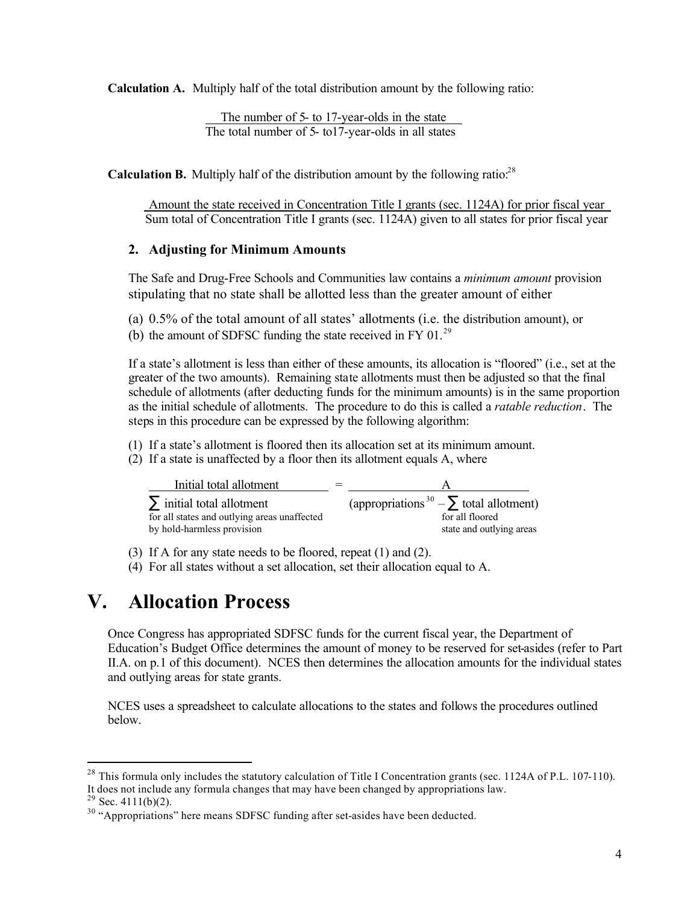**Calculation A.** Multiply half of the total distribution amount by the following ratio:

The number of 5- to 17-year-olds in the state The total number of 5- to17-year-olds in all states

**Calculation B.** Multiply half of the distribution amount by the following ratio: $28$ 

 Amount the state received in Concentration Title I grants (sec. 1124A) for prior fiscal year Sum total of Concentration Title I grants (sec. 1124A) given to all states for prior fiscal year

#### **2. Adjusting for Minimum Amounts**

The Safe and Drug-Free Schools and Communities law contains a *minimum amount* provision stipulating that no state shall be allotted less than the greater amount of either

- (a) 0.5% of the total amount of all states' allotments (i.e. the distribution amount), or
- (b) the amount of SDFSC funding the state received in FY 01. $^{29}$

If a state's allotment is less than either of these amounts, its allocation is "floored" (i.e., set at the greater of the two amounts). Remaining state allotments must then be adjusted so that the final schedule of allotments (after deducting funds for the minimum amounts) is in the same proportion as the initial schedule of allotments. The procedure to do this is called a *ratable reduction*. The steps in this procedure can be expressed by the following algorithm:

- (1) If a state's allotment is floored then its allocation set at its minimum amount.
- (2) If a state is unaffected by a floor then its allotment equals A, where

| Initial total allotment                                                        |                                                                 |
|--------------------------------------------------------------------------------|-----------------------------------------------------------------|
| $\sum$ initial total allotment<br>for all states and outlying areas unaffected | (appropriations $30 - \sum$ total allotment)<br>for all floored |
| by hold-harmless provision                                                     | state and outlying areas                                        |

(3) If A for any state needs to be floored, repeat (1) and (2).

(4) For all states without a set allocation, set their allocation equal to A.

### **V. Allocation Process**

Once Congress has appropriated SDFSC funds for the current fiscal year, the Department of Education's Budget Office determines the amount of money to be reserved for set-asides (refer to Part II.A. on p.1 of this document). NCES then determines the allocation amounts for the individual states and outlying areas for state grants.

NCES uses a spreadsheet to calculate allocations to the states and follows the procedures outlined below.

 $\overline{a}$ 

<sup>&</sup>lt;sup>28</sup> This formula only includes the statutory calculation of Title I Concentration grants (sec. 1124A of P.L. 107-110). It does not include any formula changes that may have been changed by appropriations law.

 $29$  Sec. 4111(b)(2).

<sup>&</sup>lt;sup>30</sup> "Appropriations" here means SDFSC funding after set-asides have been deducted.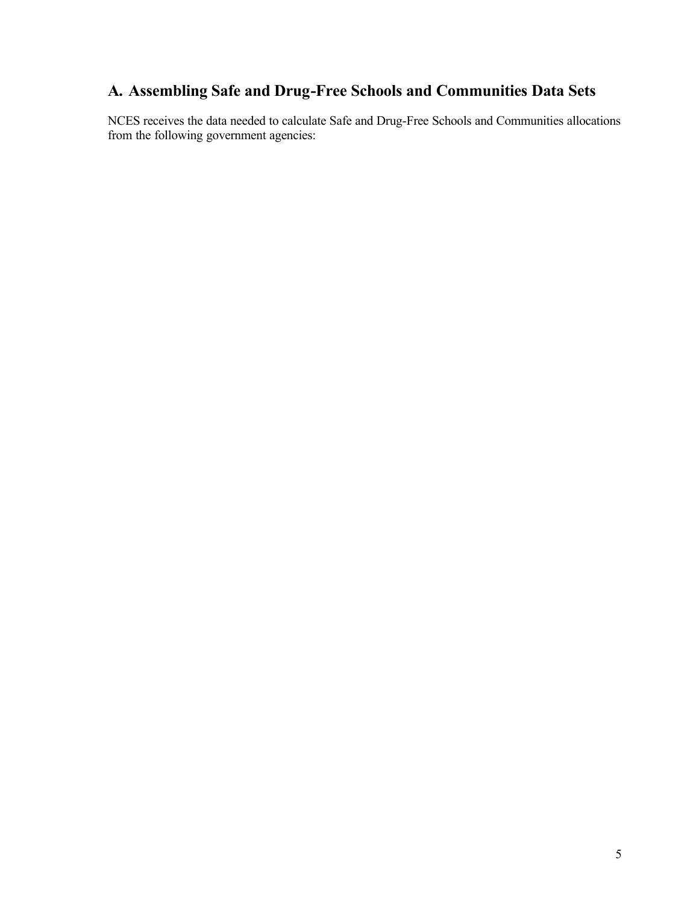### **A. Assembling Safe and Drug-Free Schools and Communities Data Sets**

NCES receives the data needed to calculate Safe and Drug-Free Schools and Communities allocations from the following government agencies: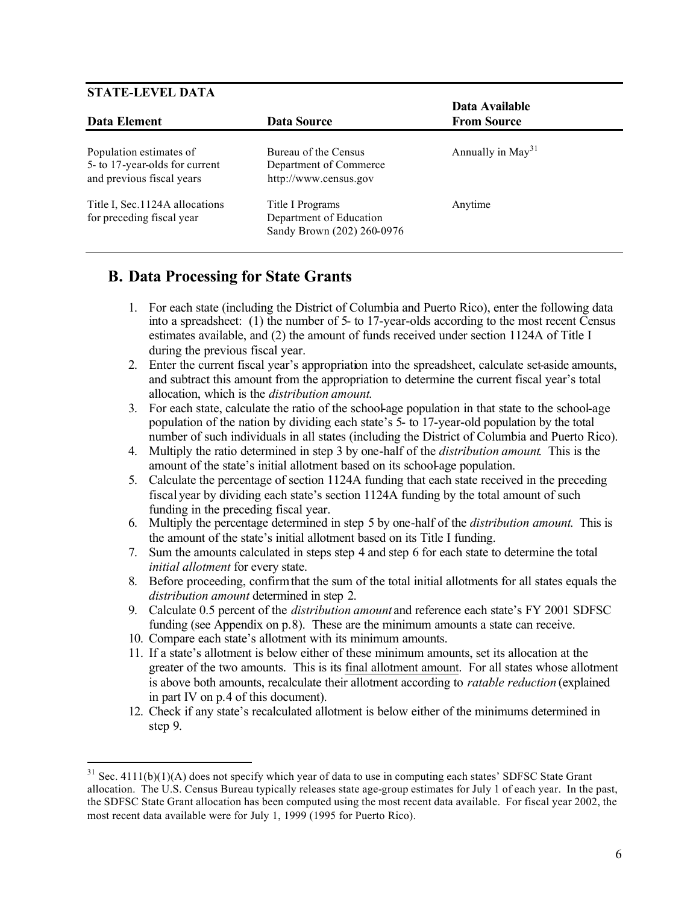#### **STATE-LEVEL DATA**

 $\overline{a}$ 

| Data Element                                                                           | Data Source                                                               | Data Available<br><b>From Source</b> |
|----------------------------------------------------------------------------------------|---------------------------------------------------------------------------|--------------------------------------|
| Population estimates of<br>5- to 17-year-olds for current<br>and previous fiscal years | Bureau of the Census<br>Department of Commerce<br>http://www.census.gov   | Annually in May <sup>31</sup>        |
| Title I, Sec. 1124A allocations<br>for preceding fiscal year                           | Title I Programs<br>Department of Education<br>Sandy Brown (202) 260-0976 | Anytime                              |

#### **B. Data Processing for State Grants**

- 1. For each state (including the District of Columbia and Puerto Rico), enter the following data into a spreadsheet: (1) the number of 5- to 17-year-olds according to the most recent Census estimates available, and (2) the amount of funds received under section 1124A of Title I during the previous fiscal year.
- 2. Enter the current fiscal year's appropriation into the spreadsheet, calculate set-aside amounts, and subtract this amount from the appropriation to determine the current fiscal year's total allocation, which is the *distribution amount*.
- 3. For each state, calculate the ratio of the school-age population in that state to the school-age population of the nation by dividing each state's 5- to 17-year-old population by the total number of such individuals in all states (including the District of Columbia and Puerto Rico).
- 4. Multiply the ratio determined in step 3 by one-half of the *distribution amount*. This is the amount of the state's initial allotment based on its school-age population.
- 5. Calculate the percentage of section 1124A funding that each state received in the preceding fiscal year by dividing each state's section 1124A funding by the total amount of such funding in the preceding fiscal year.
- 6. Multiply the percentage determined in step 5 by one-half of the *distribution amount*. This is the amount of the state's initial allotment based on its Title I funding.
- 7. Sum the amounts calculated in steps step 4 and step 6 for each state to determine the total *initial allotment* for every state.
- 8. Before proceeding, confirm that the sum of the total initial allotments for all states equals the *distribution amount* determined in step 2.
- 9. Calculate 0.5 percent of the *distribution amount* and reference each state's FY 2001 SDFSC funding (see Appendix on p.8). These are the minimum amounts a state can receive.
- 10. Compare each state's allotment with its minimum amounts.
- 11. If a state's allotment is below either of these minimum amounts, set its allocation at the greater of the two amounts. This is its final allotment amount. For all states whose allotment is above both amounts, recalculate their allotment according to *ratable reduction* (explained in part IV on p.4 of this document).
- 12. Check if any state's recalculated allotment is below either of the minimums determined in step 9.

 $31$  Sec. 4111(b)(1)(A) does not specify which year of data to use in computing each states' SDFSC State Grant allocation. The U.S. Census Bureau typically releases state age-group estimates for July 1 of each year. In the past, the SDFSC State Grant allocation has been computed using the most recent data available. For fiscal year 2002, the most recent data available were for July 1, 1999 (1995 for Puerto Rico).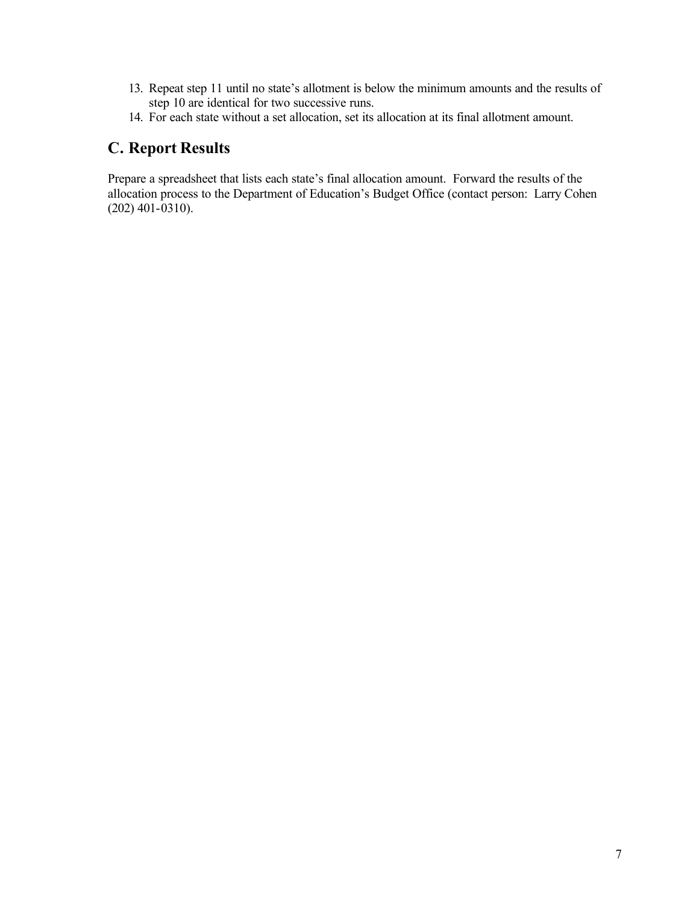- 13. Repeat step 11 until no state's allotment is below the minimum amounts and the results of step 10 are identical for two successive runs.
- 14. For each state without a set allocation, set its allocation at its final allotment amount.

### **C. Report Results**

Prepare a spreadsheet that lists each state's final allocation amount. Forward the results of the allocation process to the Department of Education's Budget Office (contact person: Larry Cohen (202) 401-0310).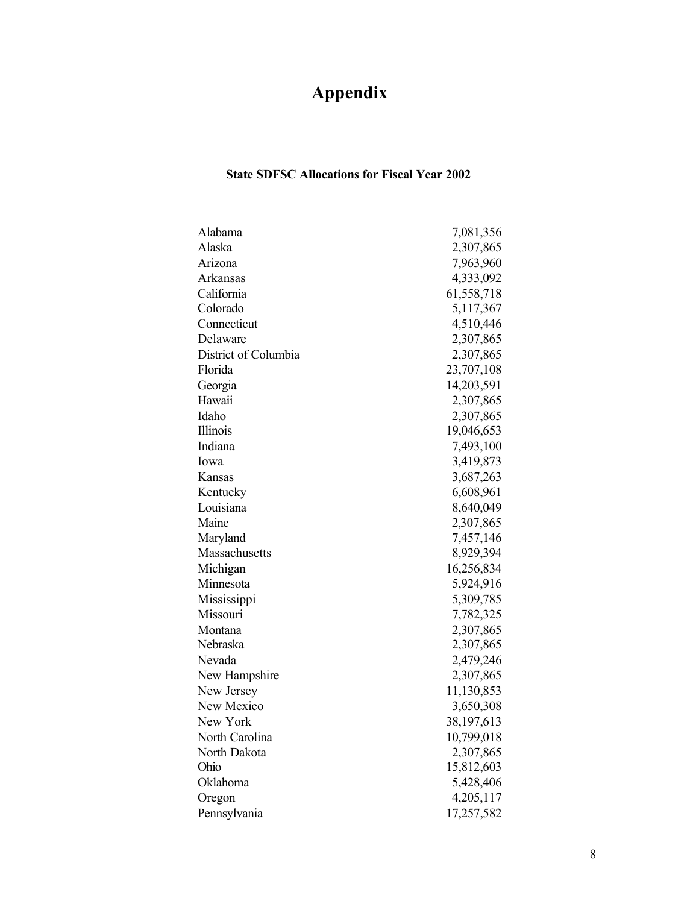## **Appendix**

#### **State SDFSC Allocations for Fiscal Year 2002**

| Alabama              | 7,081,356  |
|----------------------|------------|
| Alaska               | 2,307,865  |
| Arizona              | 7,963,960  |
| <b>Arkansas</b>      | 4,333,092  |
| California           | 61,558,718 |
| Colorado             | 5,117,367  |
| Connecticut          | 4,510,446  |
| Delaware             | 2,307,865  |
| District of Columbia | 2,307,865  |
| Florida              | 23,707,108 |
| Georgia              | 14,203,591 |
| Hawaii               | 2,307,865  |
| Idaho                | 2,307,865  |
| Illinois             | 19,046,653 |
| Indiana              | 7,493,100  |
| Iowa                 | 3,419,873  |
| Kansas               | 3,687,263  |
| Kentucky             | 6,608,961  |
| Louisiana            | 8,640,049  |
| Maine                | 2,307,865  |
| Maryland             | 7,457,146  |
| Massachusetts        | 8,929,394  |
| Michigan             | 16,256,834 |
| Minnesota            | 5,924,916  |
| Mississippi          | 5,309,785  |
| Missouri             | 7,782,325  |
| Montana              | 2,307,865  |
| Nebraska             | 2,307,865  |
| Nevada               | 2,479,246  |
| New Hampshire        | 2,307,865  |
| New Jersey           | 11,130,853 |
| New Mexico           | 3,650,308  |
| New York             | 38,197,613 |
| North Carolina       | 10,799,018 |
| North Dakota         | 2,307,865  |
| Ohio                 | 15,812,603 |
| Oklahoma             | 5,428,406  |
| Oregon               | 4,205,117  |
| Pennsylvania         | 17,257,582 |